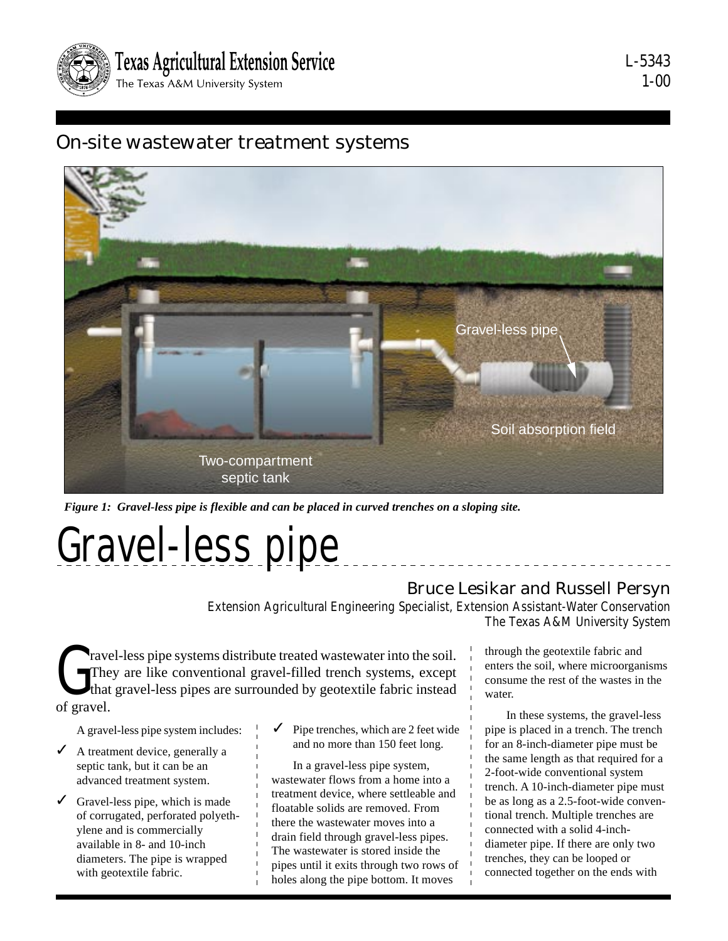

## On-site wastewater treatment systems



*Figure 1: Gravel-less pipe is flexible and can be placed in curved trenches on a sloping site.*

Gravel-less pipe

#### Bruce Lesikar and Russell Persyn

Extension Agricultural Engineering Specialist, Extension Assistant-Water Conservation The Texas A&M University System

The The that<br>of gravel. ravel-less pipe systems distribute treated wastewater into the soil. They are like conventional gravel-filled trench systems, except that gravel-less pipes are surrounded by geotextile fabric instead

A gravel-less pipe system includes:

- $\angle$  A treatment device, generally a septic tank, but it can be an advanced treatment system.
- $\checkmark$  Gravel-less pipe, which is made of corrugated, perforated polyethylene and is commercially available in 8- and 10-inch diameters. The pipe is wrapped with geotextile fabric.
- ✓ Pipe trenches, which are 2 feet wide and no more than 150 feet long.

In a gravel-less pipe system, wastewater flows from a home into a treatment device, where settleable and floatable solids are removed. From there the wastewater moves into a drain field through gravel-less pipes. The wastewater is stored inside the pipes until it exits through two rows of holes along the pipe bottom. It moves

through the geotextile fabric and enters the soil, where microorganisms consume the rest of the wastes in the water.

In these systems, the gravel-less pipe is placed in a trench. The trench for an 8-inch-diameter pipe must be the same length as that required for a 2-foot-wide conventional system trench. A 10-inch-diameter pipe must be as long as a 2.5-foot-wide conventional trench. Multiple trenches are connected with a solid 4-inchdiameter pipe. If there are only two trenches, they can be looped or connected together on the ends with